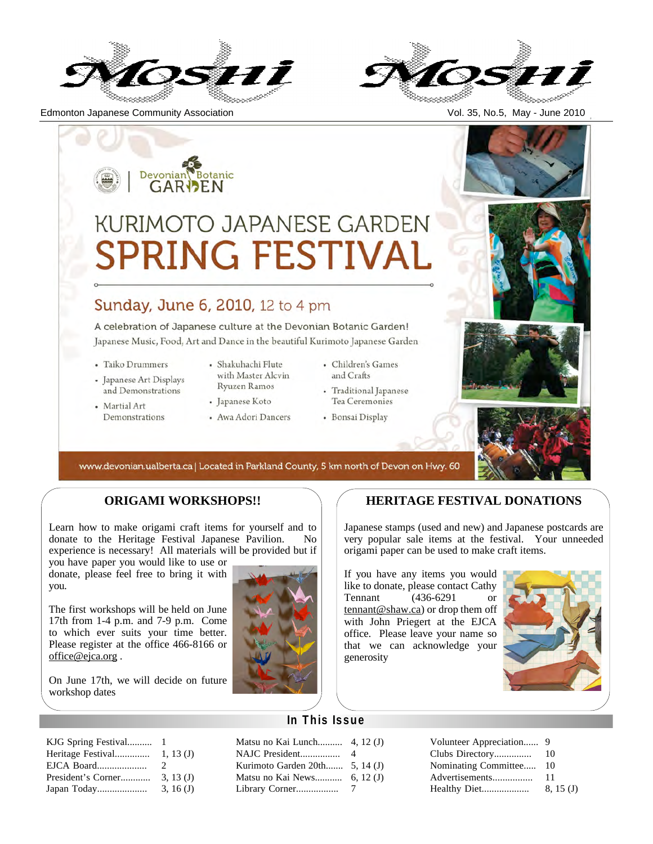

Edmonton Japanese Community Association Vol. 35, No.5, May - June 2010



# Devonian Botanic **KURIMOTO JAPANESE GARDEN SPRING FESTIVA** Sunday, June 6, 2010, 12 to 4 pm A celebration of Japanese culture at the Devonian Botanic Garden! Japanese Music, Food, Art and Dance in the beautiful Kurimoto Japanese Garden · Shakuhachi Flute · Children's Games • Taiko Drummers

- Japanese Art Displays and Demonstrations
- Martial Art Demonstrations
- with Master Alcvin Ryuzen Ramos
- Japanese Koto
- Awa Adori Dancers
- and Crafts
- Traditional Japanese Tea Ceremonies
- · Bonsai Display



www.devonian.ualberta.ca | Located in Parkland County, 5 km north of Devon on Hwy. 60

# **ORIGAMI WORKSHOPS!!**

Learn how to make origami craft items for yourself and to donate to the Heritage Festival Japanese Pavilion. No experience is necessary! All materials will be provided but if

you have paper you would like to use or donate, please feel free to bring it with you.

The first workshops will be held on June 17th from 1-4 p.m. and 7-9 p.m. Come to which ever suits your time better. Please register at the office 466-8166 or office@ejca.org.

On June 17th, we will decide on future workshop dates

| Heritage Festival<br>1, 13(J) |
|-------------------------------|
| 2                             |
| 3, 13(J)                      |
| 3, 16(J)                      |
|                               |



# **HERITAGE FESTIVAL DONATIONS**

Japanese stamps (used and new) and Japanese postcards are very popular sale items at the festival. Your unneeded origami paper can be used to make craft items.

If you have any items you would like to donate, please contact Cathy<br>Tennant (436-6291 or  $(436-6291)$  or tennant@shaw.ca) or drop them off with John Priegert at the EJCA office. Please leave your name so that we can acknowledge your generosity



# **In This Issue**

Matsu no Kai Lunch.......... 4, 12 (J) NAJC President................ 4 Kurimoto Garden 20th....... 5, 14 (J) Matsu no Kai News........... 6, 12 (J) Library Corner................. 7

| 10       |
|----------|
| 10       |
| 11       |
| 8, 15(J) |
|          |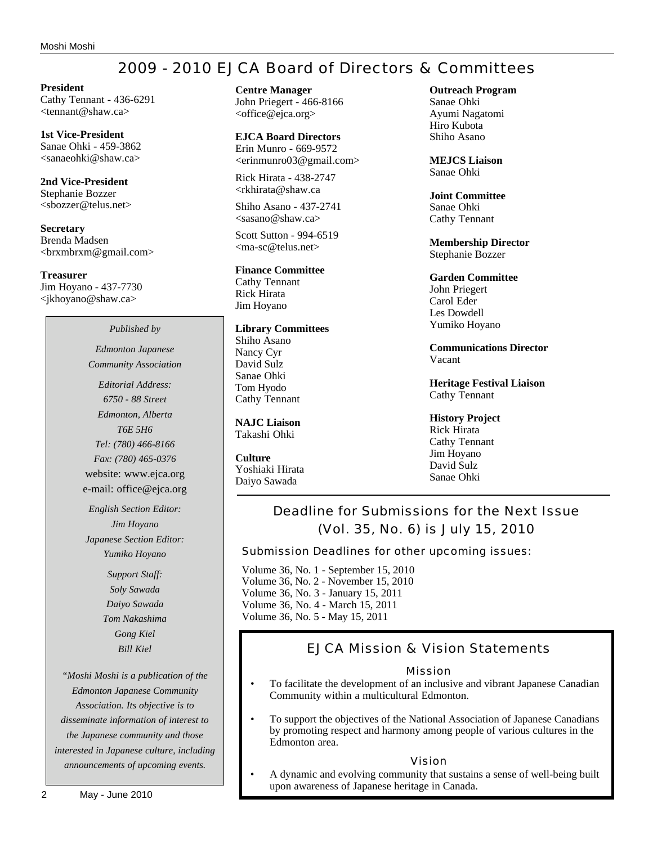# 2009 - 2010 EJCA Board of Directors & Committees

**President** Cathy Tennant - 436-6291 <tennant@shaw.ca>

**1st Vice-President** Sanae Ohki - 459-3862 <sanaeohki@shaw.ca>

**2nd Vice-President** Stephanie Bozzer <sbozzer@telus.net>

**Secretary** Brenda Madsen <brxmbrxm@gmail.com>

**Treasurer** Jim Hoyano - 437-7730 <jkhoyano@shaw.ca>

*Published by*

*Edmonton Japanese Community Association*

*Editorial Address: 6750 - 88 Street Edmonton, Alberta T6E 5H6 Tel: (780) 466-8166 Fax: (780) 465-0376* website: www.ejca.org e-mail: office@ejca.org

*English Section Editor: Jim Hoyano Japanese Section Editor: Yumiko Hoyano*

> *Support Staff: Soly Sawada Daiyo Sawada Tom Nakashima Gong Kiel Bill Kiel*

*"Moshi Moshi is a publication of the Edmonton Japanese Community Association. Its objective is to disseminate information of interest to the Japanese community and those interested in Japanese culture, including announcements of upcoming events.*

**EJCA Board Directors** Erin Munro - 669-9572 <erinmunro03@gmail.com>

Rick Hirata - 438-2747 <rkhirata@shaw.ca

Shiho Asano - 437-2741  $\langle$ sasano@shaw.ca $\rangle$ 

Scott Sutton - 994-6519 <ma-sc@telus.net>

### **Finance Committee**

Cathy Tennant Rick Hirata Jim Hoyano

### **Library Committees**

Shiho Asano Nancy Cyr David Sulz Sanae Ohki Tom Hyodo Cathy Tennant

**NAJC Liaison** Takashi Ohki

**Culture** Yoshiaki Hirata Daiyo Sawada

**Outreach Program**

Sanae Ohki Ayumi Nagatomi Hiro Kubota Shiho Asano

**MEJCS Liaison** Sanae Ohki

**Joint Committee** Sanae Ohki Cathy Tennant

**Membership Director** Stephanie Bozzer

### **Garden Committee**

John Priegert Carol Eder Les Dowdell Yumiko Hoyano

**Communications Director** Vacant

**Heritage Festival Liaison** Cathy Tennant

**History Project** Rick Hirata Cathy Tennant Jim Hoyano David Sulz Sanae Ohki

# Deadline for Submissions for the Next Issue (Vol. 35, No. 6) is July 15, 2010

Submission Deadlines for other upcoming issues:

Volume 36, No. 1 - September 15, 2010 Volume 36, No. 2 - November 15, 2010 Volume 36, No. 3 - January 15, 2011 Volume 36, No. 4 - March 15, 2011

Volume 36, No. 5 - May 15, 2011

# EJCA Mission & Vision Statements

## Mission

- To facilitate the development of an inclusive and vibrant Japanese Canadian Community within a multicultural Edmonton.
- To support the objectives of the National Association of Japanese Canadians by promoting respect and harmony among people of various cultures in the Edmonton area.

### Vision

• A dynamic and evolving community that sustains a sense of well-being built upon awareness of Japanese heritage in Canada.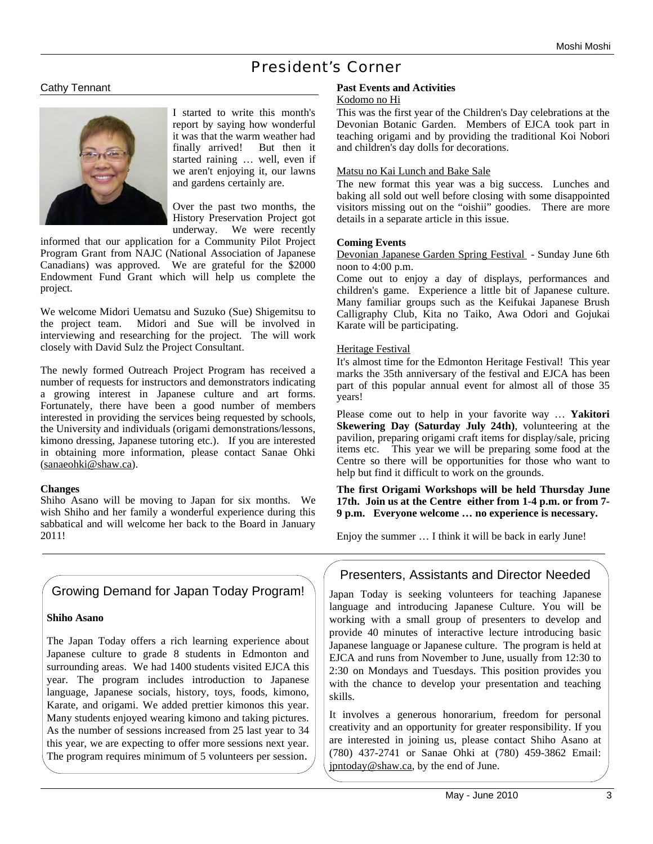# President's Corner

# Cathy Tennant



I started to write this month's report by saying how wonderful it was that the warm weather had finally arrived! But then it started raining … well, even if we aren't enjoying it, our lawns and gardens certainly are.

Over the past two months, the History Preservation Project got underway. We were recently

informed that our application for a Community Pilot Project Program Grant from NAJC (National Association of Japanese Canadians) was approved. We are grateful for the \$2000 Endowment Fund Grant which will help us complete the project.

We welcome Midori Uematsu and Suzuko (Sue) Shigemitsu to the project team. Midori and Sue will be involved in interviewing and researching for the project. The will work closely with David Sulz the Project Consultant.

The newly formed Outreach Project Program has received a number of requests for instructors and demonstrators indicating a growing interest in Japanese culture and art forms. Fortunately, there have been a good number of members interested in providing the services being requested by schools, the University and individuals (origami demonstrations/lessons, kimono dressing, Japanese tutoring etc.). If you are interested in obtaining more information, please contact Sanae Ohki (sanaeohki@shaw.ca).

### **Changes**

Shiho Asano will be moving to Japan for six months. We wish Shiho and her family a wonderful experience during this sabbatical and will welcome her back to the Board in January 2011!

# Growing Demand for Japan Today Program!

### **Shiho Asano**

The Japan Today offers a rich learning experience about Japanese culture to grade 8 students in Edmonton and surrounding areas. We had 1400 students visited EJCA this year. The program includes introduction to Japanese language, Japanese socials, history, toys, foods, kimono, Karate, and origami. We added prettier kimonos this year. Many students enjoyed wearing kimono and taking pictures. As the number of sessions increased from 25 last year to 34 this year, we are expecting to offer more sessions next year. The program requires minimum of 5 volunteers per session.

# **Past Events and Activities**

# Kodomo no Hi

This was the first year of the Children's Day celebrations at the Devonian Botanic Garden. Members of EJCA took part in teaching origami and by providing the traditional Koi Nobori and children's day dolls for decorations.

#### Matsu no Kai Lunch and Bake Sale

The new format this year was a big success. Lunches and baking all sold out well before closing with some disappointed visitors missing out on the "oishii" goodies. There are more details in a separate article in this issue.

#### **Coming Events**

Devonian Japanese Garden Spring Festival - Sunday June 6th noon to 4:00 p.m.

Come out to enjoy a day of displays, performances and children's game. Experience a little bit of Japanese culture. Many familiar groups such as the Keifukai Japanese Brush Calligraphy Club, Kita no Taiko, Awa Odori and Gojukai Karate will be participating.

### Heritage Festival

It's almost time for the Edmonton Heritage Festival! This year marks the 35th anniversary of the festival and EJCA has been part of this popular annual event for almost all of those 35 years!

Please come out to help in your favorite way … **Yakitori Skewering Day (Saturday July 24th)**, volunteering at the pavilion, preparing origami craft items for display/sale, pricing items etc. This year we will be preparing some food at the Centre so there will be opportunities for those who want to help but find it difficult to work on the grounds.

**The first Origami Workshops will be held Thursday June 17th. Join us at the Centre either from 1-4 p.m. or from 7- 9 p.m. Everyone welcome … no experience is necessary.**

Enjoy the summer … I think it will be back in early June!

# Presenters, Assistants and Director Needed

Japan Today is seeking volunteers for teaching Japanese language and introducing Japanese Culture. You will be working with a small group of presenters to develop and provide 40 minutes of interactive lecture introducing basic Japanese language or Japanese culture. The program is held at EJCA and runs from November to June, usually from 12:30 to 2:30 on Mondays and Tuesdays. This position provides you with the chance to develop your presentation and teaching skills.

It involves a generous honorarium, freedom for personal creativity and an opportunity for greater responsibility. If you are interested in joining us, please contact Shiho Asano at (780) 437-2741 or Sanae Ohki at (780) 459-3862 Email: jpntoday@shaw.ca, by the end of June.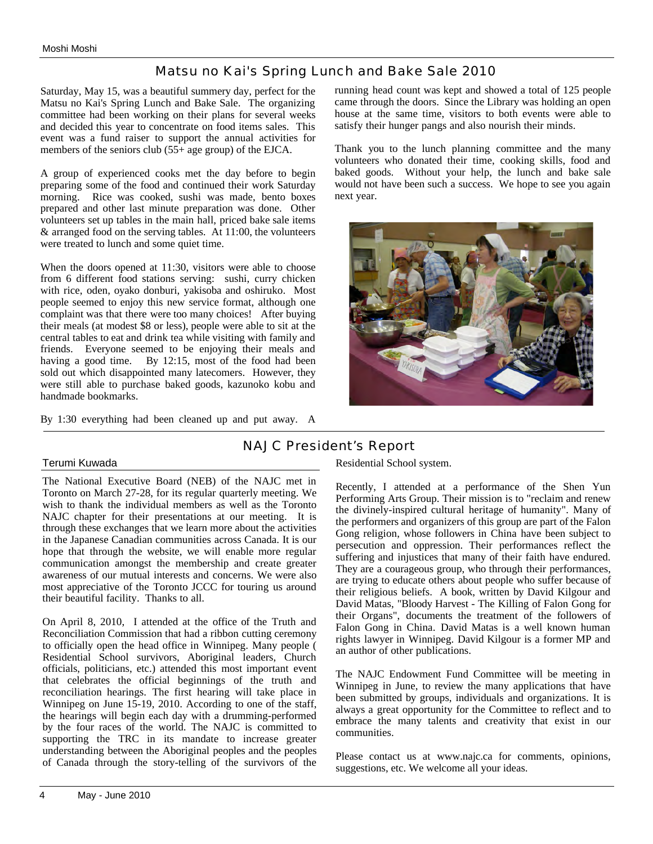# Matsu no Kai's Spring Lunch and Bake Sale 2010

Saturday, May 15, was a beautiful summery day, perfect for the Matsu no Kai's Spring Lunch and Bake Sale. The organizing committee had been working on their plans for several weeks and decided this year to concentrate on food items sales. This event was a fund raiser to support the annual activities for members of the seniors club (55+ age group) of the EJCA.

A group of experienced cooks met the day before to begin preparing some of the food and continued their work Saturday morning. Rice was cooked, sushi was made, bento boxes prepared and other last minute preparation was done. Other volunteers set up tables in the main hall, priced bake sale items & arranged food on the serving tables. At 11:00, the volunteers were treated to lunch and some quiet time.

When the doors opened at 11:30, visitors were able to choose from 6 different food stations serving: sushi, curry chicken with rice, oden, oyako donburi, yakisoba and oshiruko. Most people seemed to enjoy this new service format, although one complaint was that there were too many choices! After buying their meals (at modest \$8 or less), people were able to sit at the central tables to eat and drink tea while visiting with family and friends. Everyone seemed to be enjoying their meals and having a good time. By 12:15, most of the food had been sold out which disappointed many latecomers. However, they were still able to purchase baked goods, kazunoko kobu and handmade bookmarks.

By 1:30 everything had been cleaned up and put away. A

running head count was kept and showed a total of 125 people came through the doors. Since the Library was holding an open house at the same time, visitors to both events were able to satisfy their hunger pangs and also nourish their minds.

Thank you to the lunch planning committee and the many volunteers who donated their time, cooking skills, food and baked goods. Without your help, the lunch and bake sale would not have been such a success. We hope to see you again next year.



# NAJC President's Report

## Terumi Kuwada

The National Executive Board (NEB) of the NAJC met in Toronto on March 27-28, for its regular quarterly meeting. We wish to thank the individual members as well as the Toronto NAJC chapter for their presentations at our meeting. It is through these exchanges that we learn more about the activities in the Japanese Canadian communities across Canada. It is our hope that through the website, we will enable more regular communication amongst the membership and create greater awareness of our mutual interests and concerns. We were also most appreciative of the Toronto JCCC for touring us around their beautiful facility. Thanks to all.

On April 8, 2010, I attended at the office of the Truth and Reconciliation Commission that had a ribbon cutting ceremony to officially open the head office in Winnipeg. Many people ( Residential School survivors, Aboriginal leaders, Church officials, politicians, etc.) attended this most important event that celebrates the official beginnings of the truth and reconciliation hearings. The first hearing will take place in Winnipeg on June 15-19, 2010. According to one of the staff, the hearings will begin each day with a drumming-performed by the four races of the world. The NAJC is committed to supporting the TRC in its mandate to increase greater understanding between the Aboriginal peoples and the peoples of Canada through the story-telling of the survivors of the

Residential School system.

Recently, I attended at a performance of the Shen Yun Performing Arts Group. Their mission is to "reclaim and renew the divinely-inspired cultural heritage of humanity". Many of the performers and organizers of this group are part of the Falon Gong religion, whose followers in China have been subject to persecution and oppression. Their performances reflect the suffering and injustices that many of their faith have endured. They are a courageous group, who through their performances, are trying to educate others about people who suffer because of their religious beliefs. A book, written by David Kilgour and David Matas, "Bloody Harvest - The Killing of Falon Gong for their Organs", documents the treatment of the followers of Falon Gong in China. David Matas is a well known human rights lawyer in Winnipeg. David Kilgour is a former MP and an author of other publications.

The NAJC Endowment Fund Committee will be meeting in Winnipeg in June, to review the many applications that have been submitted by groups, individuals and organizations. It is always a great opportunity for the Committee to reflect and to embrace the many talents and creativity that exist in our communities.

Please contact us at www.najc.ca for comments, opinions, suggestions, etc. We welcome all your ideas.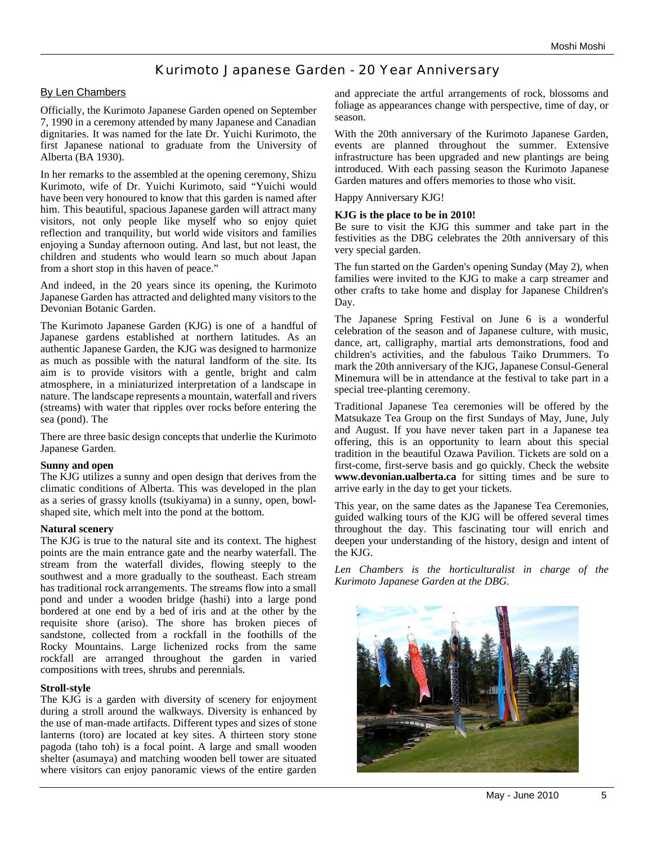# Kurimoto Japanese Garden - 20 Year Anniversary

### By Len Chambers

Officially, the Kurimoto Japanese Garden opened on September 7, 1990 in a ceremony attended by many Japanese and Canadian dignitaries. It was named for the late Dr. Yuichi Kurimoto, the first Japanese national to graduate from the University of Alberta (BA 1930).

In her remarks to the assembled at the opening ceremony, Shizu Kurimoto, wife of Dr. Yuichi Kurimoto, said "Yuichi would have been very honoured to know that this garden is named after him. This beautiful, spacious Japanese garden will attract many visitors, not only people like myself who so enjoy quiet reflection and tranquility, but world wide visitors and families enjoying a Sunday afternoon outing. And last, but not least, the children and students who would learn so much about Japan from a short stop in this haven of peace."

And indeed, in the 20 years since its opening, the Kurimoto Japanese Garden has attracted and delighted many visitors to the Devonian Botanic Garden.

The Kurimoto Japanese Garden (KJG) is one of a handful of Japanese gardens established at northern latitudes. As an authentic Japanese Garden, the KJG was designed to harmonize as much as possible with the natural landform of the site. Its aim is to provide visitors with a gentle, bright and calm atmosphere, in a miniaturized interpretation of a landscape in nature. The landscape represents a mountain, waterfall and rivers (streams) with water that ripples over rocks before entering the sea (pond). The

There are three basic design concepts that underlie the Kurimoto Japanese Garden.

#### **Sunny and open**

The KJG utilizes a sunny and open design that derives from the climatic conditions of Alberta. This was developed in the plan as a series of grassy knolls (tsukiyama) in a sunny, open, bowlshaped site, which melt into the pond at the bottom.

#### **Natural scenery**

The KJG is true to the natural site and its context. The highest points are the main entrance gate and the nearby waterfall. The stream from the waterfall divides, flowing steeply to the southwest and a more gradually to the southeast. Each stream has traditional rock arrangements. The streams flow into a small pond and under a wooden bridge (hashi) into a large pond bordered at one end by a bed of iris and at the other by the requisite shore (ariso). The shore has broken pieces of sandstone, collected from a rockfall in the foothills of the Rocky Mountains. Large lichenized rocks from the same rockfall are arranged throughout the garden in varied compositions with trees, shrubs and perennials.

### **Stroll-style**

The KJG is a garden with diversity of scenery for enjoyment during a stroll around the walkways. Diversity is enhanced by the use of man-made artifacts. Different types and sizes of stone lanterns (toro) are located at key sites. A thirteen story stone pagoda (taho toh) is a focal point. A large and small wooden shelter (asumaya) and matching wooden bell tower are situated where visitors can enjoy panoramic views of the entire garden

and appreciate the artful arrangements of rock, blossoms and foliage as appearances change with perspective, time of day, or season.

With the 20th anniversary of the Kurimoto Japanese Garden, events are planned throughout the summer. Extensive infrastructure has been upgraded and new plantings are being introduced. With each passing season the Kurimoto Japanese Garden matures and offers memories to those who visit.

#### Happy Anniversary KJG!

#### **KJG is the place to be in 2010!**

Be sure to visit the KJG this summer and take part in the festivities as the DBG celebrates the 20th anniversary of this very special garden.

The fun started on the Garden's opening Sunday (May 2), when families were invited to the KJG to make a carp streamer and other crafts to take home and display for Japanese Children's Day.

The Japanese Spring Festival on June 6 is a wonderful celebration of the season and of Japanese culture, with music, dance, art, calligraphy, martial arts demonstrations, food and children's activities, and the fabulous Taiko Drummers. To mark the 20th anniversary of the KJG, Japanese Consul-General Minemura will be in attendance at the festival to take part in a special tree-planting ceremony.

Traditional Japanese Tea ceremonies will be offered by the Matsukaze Tea Group on the first Sundays of May, June, July and August. If you have never taken part in a Japanese tea offering, this is an opportunity to learn about this special tradition in the beautiful Ozawa Pavilion. Tickets are sold on a first-come, first-serve basis and go quickly. Check the website **www.devonian.ualberta.ca** for sitting times and be sure to arrive early in the day to get your tickets.

This year, on the same dates as the Japanese Tea Ceremonies, guided walking tours of the KJG will be offered several times throughout the day. This fascinating tour will enrich and deepen your understanding of the history, design and intent of the KJG.

*Len Chambers is the horticulturalist in charge of the Kurimoto Japanese Garden at the DBG.*

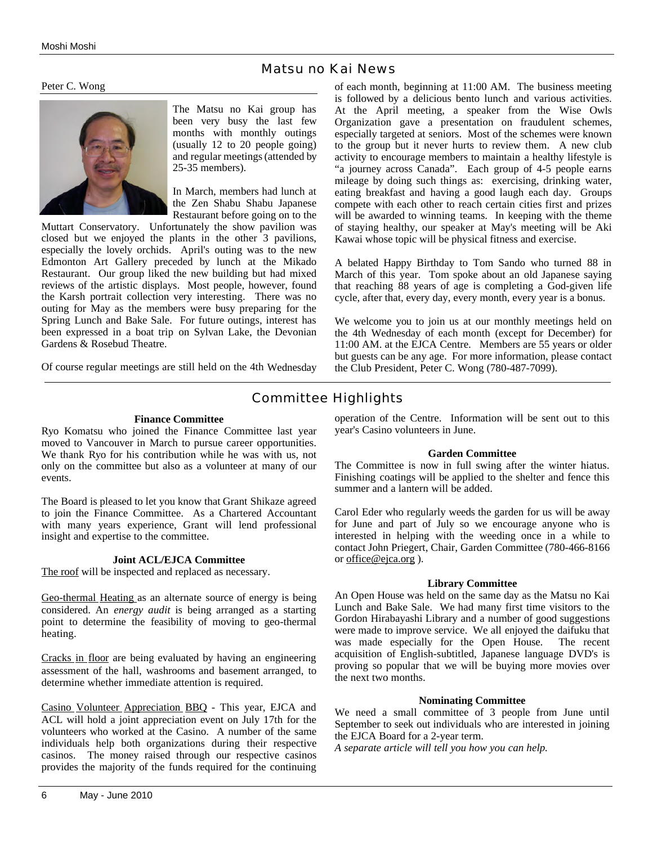# Matsu no Kai News

Peter C. Wong



The Matsu no Kai group has been very busy the last few months with monthly outings (usually 12 to 20 people going) and regular meetings (attended by 25-35 members).

In March, members had lunch at the Zen Shabu Shabu Japanese Restaurant before going on to the

Muttart Conservatory. Unfortunately the show pavilion was closed but we enjoyed the plants in the other 3 pavilions, especially the lovely orchids. April's outing was to the new Edmonton Art Gallery preceded by lunch at the Mikado Restaurant. Our group liked the new building but had mixed reviews of the artistic displays. Most people, however, found the Karsh portrait collection very interesting. There was no outing for May as the members were busy preparing for the Spring Lunch and Bake Sale. For future outings, interest has been expressed in a boat trip on Sylvan Lake, the Devonian Gardens & Rosebud Theatre.

Of course regular meetings are still held on the 4th Wednesday

of each month, beginning at 11:00 AM. The business meeting is followed by a delicious bento lunch and various activities. At the April meeting, a speaker from the Wise Owls Organization gave a presentation on fraudulent schemes, especially targeted at seniors. Most of the schemes were known to the group but it never hurts to review them. A new club activity to encourage members to maintain a healthy lifestyle is "a journey across Canada". Each group of 4-5 people earns mileage by doing such things as: exercising, drinking water, eating breakfast and having a good laugh each day. Groups compete with each other to reach certain cities first and prizes will be awarded to winning teams. In keeping with the theme of staying healthy, our speaker at May's meeting will be Aki Kawai whose topic will be physical fitness and exercise.

A belated Happy Birthday to Tom Sando who turned 88 in March of this year. Tom spoke about an old Japanese saying that reaching 88 years of age is completing a God-given life cycle, after that, every day, every month, every year is a bonus.

We welcome you to join us at our monthly meetings held on the 4th Wednesday of each month (except for December) for 11:00 AM. at the EJCA Centre. Members are 55 years or older but guests can be any age. For more information, please contact the Club President, Peter C. Wong (780-487-7099).

# Committee Highlights

#### **Finance Committee**

Ryo Komatsu who joined the Finance Committee last year moved to Vancouver in March to pursue career opportunities. We thank Ryo for his contribution while he was with us, not only on the committee but also as a volunteer at many of our events.

The Board is pleased to let you know that Grant Shikaze agreed to join the Finance Committee. As a Chartered Accountant with many years experience, Grant will lend professional insight and expertise to the committee.

### **Joint ACL/EJCA Committee**

The roof will be inspected and replaced as necessary.

Geo-thermal Heating as an alternate source of energy is being considered. An *energy audit* is being arranged as a starting point to determine the feasibility of moving to geo-thermal heating.

Cracks in floor are being evaluated by having an engineering assessment of the hall, washrooms and basement arranged, to determine whether immediate attention is required.

Casino Volunteer Appreciation BBQ - This year, EJCA and ACL will hold a joint appreciation event on July 17th for the volunteers who worked at the Casino. A number of the same individuals help both organizations during their respective casinos. The money raised through our respective casinos provides the majority of the funds required for the continuing

operation of the Centre. Information will be sent out to this year's Casino volunteers in June.

### **Garden Committee**

The Committee is now in full swing after the winter hiatus. Finishing coatings will be applied to the shelter and fence this summer and a lantern will be added.

Carol Eder who regularly weeds the garden for us will be away for June and part of July so we encourage anyone who is interested in helping with the weeding once in a while to contact John Priegert, Chair, Garden Committee (780-466-8166 or office@ejca.org ).

### **Library Committee**

An Open House was held on the same day as the Matsu no Kai Lunch and Bake Sale. We had many first time visitors to the Gordon Hirabayashi Library and a number of good suggestions were made to improve service. We all enjoyed the daifuku that was made especially for the Open House. The recent acquisition of English-subtitled, Japanese language DVD's is proving so popular that we will be buying more movies over the next two months.

### **Nominating Committee**

We need a small committee of 3 people from June until September to seek out individuals who are interested in joining the EJCA Board for a 2-year term.

*A separate article will tell you how you can help.*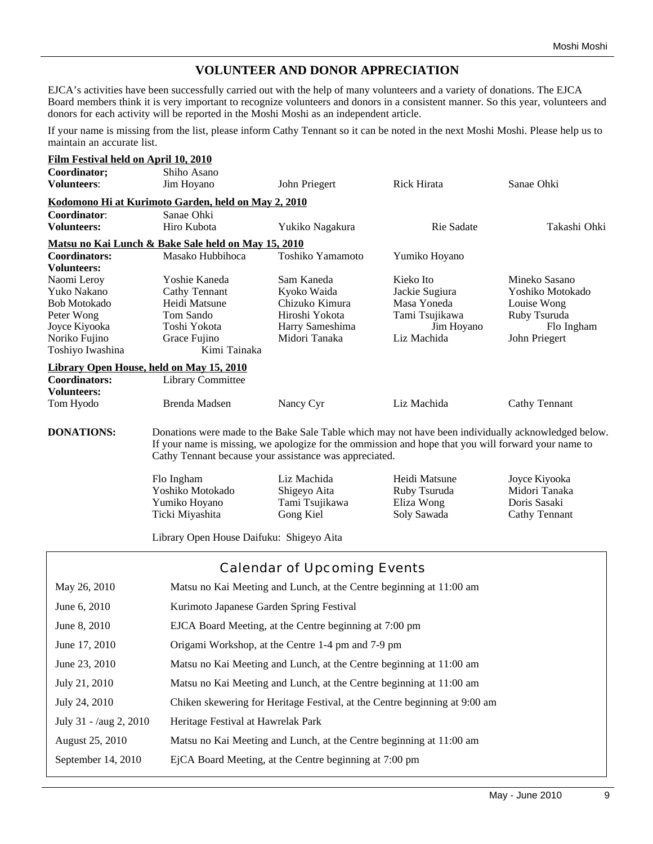# **VOLUNTEER AND DONOR APPRECIATION**

EJCA's activities have been successfully carried out with the help of many volunteers and a variety of donations. The EJCA Board members think it is very important to recognize volunteers and donors in a consistent manner. So this year, volunteers and donors for each activity will be reported in the Moshi Moshi as an independent article.

If your name is missing from the list, please inform Cathy Tennant so it can be noted in the next Moshi Moshi. Please help us to maintain an accurate list.

| Film Festival held on April 10, 2010            |                                                                                                                |                                                                                                                      |                                                            |                                                                 |  |
|-------------------------------------------------|----------------------------------------------------------------------------------------------------------------|----------------------------------------------------------------------------------------------------------------------|------------------------------------------------------------|-----------------------------------------------------------------|--|
| Coordinator;                                    | Shiho Asano                                                                                                    |                                                                                                                      |                                                            |                                                                 |  |
| <b>Volunteers:</b>                              | Jim Hoyano                                                                                                     | John Priegert                                                                                                        | Rick Hirata                                                | Sanae Ohki                                                      |  |
|                                                 | Kodomono Hi at Kurimoto Garden, held on May 2, 2010                                                            |                                                                                                                      |                                                            |                                                                 |  |
| Coordinator:                                    | Sanae Ohki                                                                                                     |                                                                                                                      |                                                            |                                                                 |  |
| <b>Volunteers:</b>                              | Hiro Kubota                                                                                                    | Yukiko Nagakura                                                                                                      | Rie Sadate                                                 | Takashi Ohki                                                    |  |
|                                                 | <u>Matsu no Kai Lunch &amp; Bake Sale held on May 15, 2010</u>                                                 |                                                                                                                      |                                                            |                                                                 |  |
| Coordinators:                                   | Masako Hubbihoca                                                                                               | Toshiko Yamamoto                                                                                                     | Yumiko Hoyano                                              |                                                                 |  |
| <b>Volunteers:</b>                              |                                                                                                                |                                                                                                                      |                                                            |                                                                 |  |
| Naomi Leroy                                     | Yoshie Kaneda                                                                                                  | Sam Kaneda                                                                                                           | Kieko Ito                                                  | Mineko Sasano                                                   |  |
| Yuko Nakano<br><b>Bob Motokado</b>              | <b>Cathy Tennant</b><br>Heidi Matsune                                                                          | Kyoko Waida<br>Chizuko Kimura                                                                                        | Jackie Sugiura<br>Masa Yoneda                              | Yoshiko Motokado<br>Louise Wong                                 |  |
| Peter Wong                                      | Tom Sando                                                                                                      | Hiroshi Yokota                                                                                                       | Tami Tsujikawa                                             | Ruby Tsuruda                                                    |  |
| Joyce Kiyooka                                   | Toshi Yokota                                                                                                   | Harry Sameshima                                                                                                      | Jim Hoyano                                                 | Flo Ingham                                                      |  |
| Noriko Fujino                                   | Grace Fujino                                                                                                   | Midori Tanaka                                                                                                        | Liz Machida                                                | John Priegert                                                   |  |
| Toshiyo Iwashina                                | Kimi Tainaka                                                                                                   |                                                                                                                      |                                                            |                                                                 |  |
| <b>Library Open House, held on May 15, 2010</b> |                                                                                                                |                                                                                                                      |                                                            |                                                                 |  |
| <b>Coordinators:</b>                            | <b>Library Committee</b>                                                                                       |                                                                                                                      |                                                            |                                                                 |  |
| <b>Volunteers:</b>                              |                                                                                                                |                                                                                                                      |                                                            |                                                                 |  |
| Tom Hyodo                                       | Brenda Madsen                                                                                                  | Nancy Cyr                                                                                                            | Liz Machida                                                | Cathy Tennant                                                   |  |
|                                                 | Flo Ingham<br>Yoshiko Motokado<br>Yumiko Hoyano<br>Ticki Miyashita<br>Library Open House Daifuku: Shigeyo Aita | Cathy Tennant because your assistance was appreciated.<br>Liz Machida<br>Shigeyo Aita<br>Tami Tsujikawa<br>Gong Kiel | Heidi Matsune<br>Ruby Tsuruda<br>Eliza Wong<br>Soly Sawada | Joyce Kiyooka<br>Midori Tanaka<br>Doris Sasaki<br>Cathy Tennant |  |
|                                                 |                                                                                                                |                                                                                                                      |                                                            |                                                                 |  |
|                                                 |                                                                                                                | Calendar of Upcoming Events                                                                                          |                                                            |                                                                 |  |
| May 26, 2010                                    |                                                                                                                | Matsu no Kai Meeting and Lunch, at the Centre beginning at 11:00 am                                                  |                                                            |                                                                 |  |
| June 6, 2010                                    | Kurimoto Japanese Garden Spring Festival                                                                       |                                                                                                                      |                                                            |                                                                 |  |
| June 8, 2010                                    | EJCA Board Meeting, at the Centre beginning at 7:00 pm                                                         |                                                                                                                      |                                                            |                                                                 |  |
| June 17, 2010                                   | Origami Workshop, at the Centre 1-4 pm and 7-9 pm                                                              |                                                                                                                      |                                                            |                                                                 |  |
| June 23, 2010                                   | Matsu no Kai Meeting and Lunch, at the Centre beginning at 11:00 am                                            |                                                                                                                      |                                                            |                                                                 |  |
| July 21, 2010                                   | Matsu no Kai Meeting and Lunch, at the Centre beginning at 11:00 am                                            |                                                                                                                      |                                                            |                                                                 |  |
|                                                 |                                                                                                                | Chiken skewering for Heritage Festival, at the Centre beginning at 9:00 am                                           |                                                            |                                                                 |  |
| July 24, 2010                                   |                                                                                                                |                                                                                                                      |                                                            |                                                                 |  |
|                                                 | Heritage Festival at Hawrelak Park                                                                             |                                                                                                                      |                                                            |                                                                 |  |
| July 31 - /aug 2, 2010<br>August 25, 2010       |                                                                                                                | Matsu no Kai Meeting and Lunch, at the Centre beginning at 11:00 am                                                  |                                                            |                                                                 |  |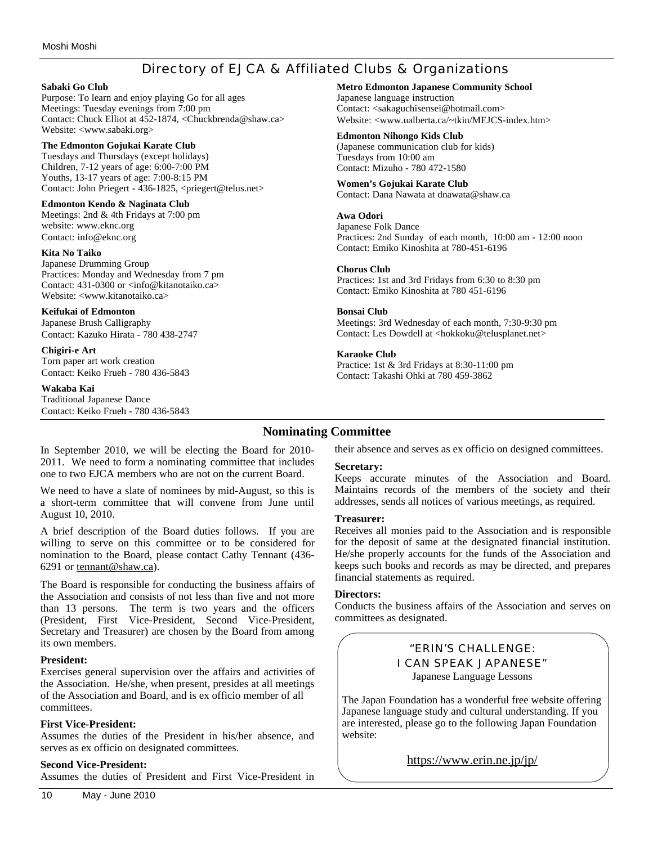# Directory of EJCA & Affiliated Clubs & Organizations

#### **Sabaki Go Club**

Purpose: To learn and enjoy playing Go for all ages Meetings: Tuesday evenings from 7:00 pm Contact: Chuck Elliot at 452-1874, <Chuckbrenda@shaw.ca> Website: <www.sabaki.org>

#### **The Edmonton Gojukai Karate Club**

Tuesdays and Thursdays (except holidays) Children, 7-12 years of age: 6:00-7:00 PM Youths, 13-17 years of age: 7:00-8:15 PM Contact: John Priegert - 436-1825, <priegert@telus.net>

#### **Edmonton Kendo & Naginata Club**

Meetings: 2nd & 4th Fridays at 7:00 pm website: www.eknc.org Contact: info@eknc.org

#### **Kita No Taiko**

Japanese Drumming Group Practices: Monday and Wednesday from 7 pm Contact: 431-0300 or <info@kitanotaiko.ca> Website: <www.kitanotaiko.ca>

#### **Keifukai of Edmonton**

Japanese Brush Calligraphy Contact: Kazuko Hirata - 780 438-2747

#### **Chigiri-e Art**

Torn paper art work creation Contact: Keiko Frueh - 780 436-5843

#### **Wakaba Kai**

August 10, 2010.

6291 or tennant@shaw.ca).

Traditional Japanese Dance Contact: Keiko Frueh - 780 436-5843 **Metro Edmonton Japanese Community School**

Japanese language instruction Contact: <sakaguchisensei@hotmail.com> Website: <www.ualberta.ca/~tkin/MEJCS-index.htm>

#### **Edmonton Nihongo Kids Club**

(Japanese communication club for kids) Tuesdays from 10:00 am Contact: Mizuho - 780 472-1580

#### **Women's Gojukai Karate Club**

Contact: Dana Nawata at dnawata@shaw.ca

#### **Awa Odori**

Japanese Folk Dance Practices: 2nd Sunday of each month, 10:00 am - 12:00 noon Contact: Emiko Kinoshita at 780-451-6196

#### **Chorus Club**

Practices: 1st and 3rd Fridays from 6:30 to 8:30 pm Contact: Emiko Kinoshita at 780 451-6196

#### **Bonsai Club**

Meetings: 3rd Wednesday of each month, 7:30-9:30 pm Contact: Les Dowdell at <hokkoku@telusplanet.net>

#### **Karaoke Club**

Practice: 1st & 3rd Fridays at 8:30-11:00 pm Contact: Takashi Ohki at 780 459-3862

# **Nominating Committee**

their absence and serves as ex officio on designed committees.

### **Secretary:**

Keeps accurate minutes of the Association and Board. Maintains records of the members of the society and their addresses, sends all notices of various meetings, as required.

### **Treasurer:**

Receives all monies paid to the Association and is responsible for the deposit of same at the designated financial institution. He/she properly accounts for the funds of the Association and keeps such books and records as may be directed, and prepares financial statements as required.

### **Directors:**

Conducts the business affairs of the Association and serves on committees as designated.

> "ERIN'S CHALLENGE: I CAN SPEAK JAPANESE" Japanese Language Lessons

The Japan Foundation has a wonderful free website offering Japanese language study and cultural understanding. If you are interested, please go to the following Japan Foundation website:

https://www.erin.ne.jp/jp/

### **President:**

its own members.

Exercises general supervision over the affairs and activities of the Association. He/she, when present, presides at all meetings of the Association and Board, and is ex officio member of all committees.

In September 2010, we will be electing the Board for 2010- 2011. We need to form a nominating committee that includes one to two EJCA members who are not on the current Board. We need to have a slate of nominees by mid-August, so this is a short-term committee that will convene from June until

A brief description of the Board duties follows. If you are willing to serve on this committee or to be considered for nomination to the Board, please contact Cathy Tennant (436-

The Board is responsible for conducting the business affairs of the Association and consists of not less than five and not more than 13 persons. The term is two years and the officers (President, First Vice-President, Second Vice-President, Secretary and Treasurer) are chosen by the Board from among

### **First Vice-President:**

Assumes the duties of the President in his/her absence, and serves as ex officio on designated committees.

### **Second Vice-President:**

Assumes the duties of President and First Vice-President in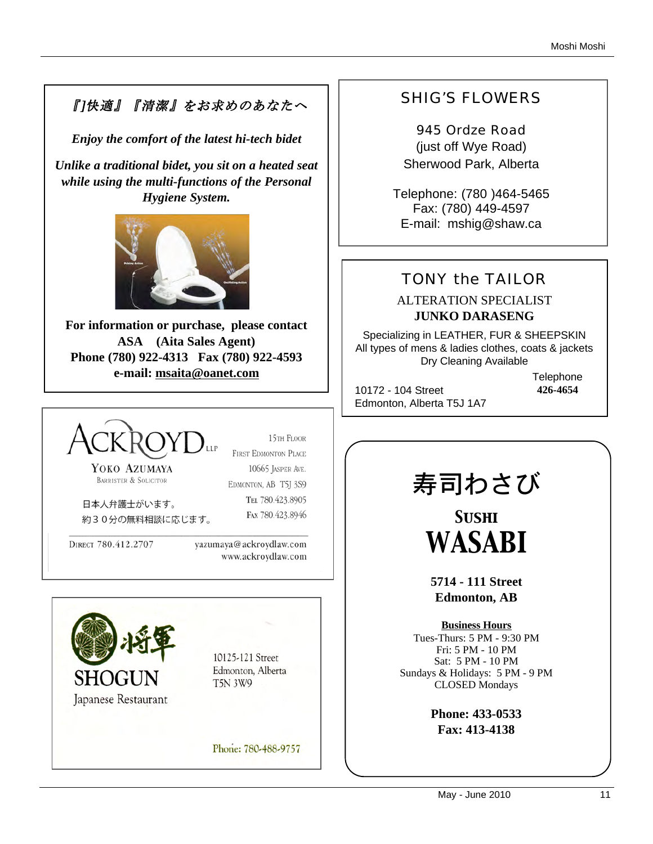# 『]快適』『清潔』をお求めのあなたへ

*Enjoy the comfort of the latest hi-tech bidet*

*Unlike a traditional bidet, you sit on a heated seat while using the multi-functions of the Personal Hygiene System.* 



**For information or purchase, please contact ASA (Aita Sales Agent) Phone (780) 922-4313 Fax (780) 922-4593 e-mail: msaita@oanet.com**



15TH FLOOR FIRST EDMONTON PLACE

YOKO AZUMAYA BARRISTER & SOLICITOR

10665 JASPER AVE. EDMONTON, AB T5J 3S9 TEL 780.423.8905 FAX 780.423.8946

日本人弁護士がいます。 約30分の無料相談に応じます。

DIRECT 780.412.2707

yazumaya@ackroydlaw.com www.ackroydlaw.com



10125-121 Street Edmonton, Alberta **T5N 3W9** 

Phone: 780-488-9757

# SHIG'S FLOWERS

945 Ordze Road (just off Wye Road) Sherwood Park, Alberta

Telephone: (780 )464-5465 Fax: (780) 449-4597 E-mail: mshig@shaw.ca

# TONY the TAILOR

# ALTERATION SPECIALIST **JUNKO DARASENG**

Specializing in LEATHER, FUR & SHEEPSKIN All types of mens & ladies clothes, coats & jackets Dry Cleaning Available

10172 - 104 Street Edmonton, Alberta T5J 1A7 **Telephone 426-4654**

寿司わさび

*Sushi WASABI*

**5714 - 111 Street Edmonton, AB**

**Business Hours** Tues-Thurs: 5 PM - 9:30 PM Fri: 5 PM - 10 PM Sat: 5 PM - 10 PM Sundays & Holidays: 5 PM - 9 PM CLOSED Mondays

> **Phone: 433-0533 Fax: 413-4138**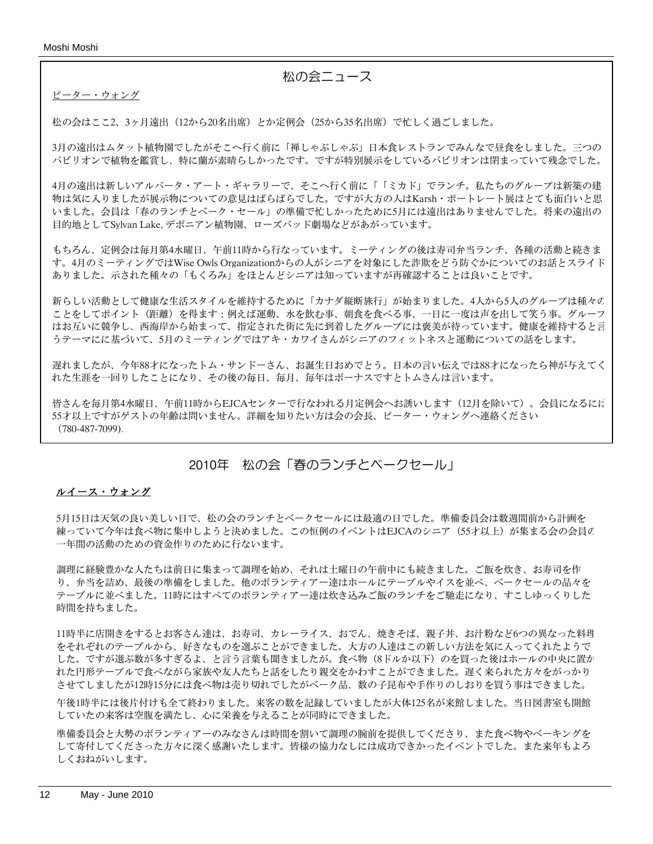Moshi Moshi

# 松の会ニュース

ピーター・ウォング

松の会はここ2、3ヶ月遠出(12から20名出席)とか定例会(25から35名出席)で忙しく過ごしました。

3月の遠出はムタット植物園でしたがそこへ行く前に「禅しゃぶしゃぶ」日本食レストランでみんなで昼食をしました。三つの パビリオンで植物を鑑賞し、特に蘭が素晴らしかったです。ですが特別展示をしているパビリオンは閉まっていて残念でした。

4月の遠出は新しいアルバータ・アート・ギャラリーで、そこへ行く前に「「ミカド」でランチ。私たちのグループは新築の建 物は気に入りましたが展示物についての意見はばらばらでした。ですが大方の人はKarsh・ポートレート展はとても面白いと思 いました。会員は「春のランチとベーク・セール」の準備で忙しかったために5月には遠出はありませんでした。将来の遠出の 目的地としてSylvan Lake, デボニアン植物園、ローズバッド劇場などがあがっています。

もちろん、定例会は毎月第4水曜日、午前11時から行なっています。ミーティングの後は寿司弁当ランチ、各種の活動と続きま す。4月のミーティングではWise Owls Organizationからの人がシニアを対象にした詐欺をどう防ぐかについてのお話とスライド ありました。示された種々の「もくろみ」をほとんどシニアは知っていますが再確認することは良いことです。

新らしい活動として健康な生活スタイルを維持するために「カナダ縦断旅行」が始まりました。4人から5人のグループは種々の ことをしてポイント(距離)を得ます:例えば運動、水を飲む事、朝食を食べる事、一日に一度は声を出して笑う事。グループ はお互いに競争し、西海岸から始まって、指定された街に先に到着したグループには褒美が待っています。健康を維持すると言 うテーマにに基づいて、5月のミーティングではアキ・カワイさんがシニアのフィットネスと運動についての話をします。

遅れましたが、今年88才になったトム・サンドーさん、お誕生日おめでとう。日本の言い伝えでは88才になったら神が与えてく れた生涯を一回りしたことになり、その後の毎日、毎月、毎年はボーナスですとトムさんは言います。

皆さんを毎月第4水曜日、午前11時からEJCAセンターで行なわれる月定例会へお誘いします (12月を除いて)。会員になるにに 55才以上ですがゲストの年齢は問いません。詳細を知りたい方は会の会長、ピーター・ウォングへ連絡ください (780-487-7099).

# 2010年 松の会「春のランチとベークセール」

### ルイース・ウォング

5月15日は天気の良い美しい日で、松の会のランチとベークセールには最適の日でした。準備委員会は数週間前から計画を 練っていて今年は食べ物に集中しようと決めました。この恒例のイベントはEJCAのシニア (55才以上) が集まる会の会員の 一年間の活動のための資金作りのために行ないます。

調理に経験豊かな人たちは前日に集まって調理を始め、それは土曜日の午前中にも続きました。ご飯を炊き、お寿司を作 り、弁当を詰め、最後の準備をしました。他のボランティアー達はホールにテーブルやイスを並べ、ベークセールの品々を テーブルに並べました。11時にはすべてのボランティアー達は炊き込みご飯のランチをご馳走になり、すこしゆっくりした 時間を持ちました。

11時半に店開きをするとお客さん達は、お寿司、カレーライス、おでん、焼きそば、親子丼、お汁粉など6つの異なった料理 をそれぞれのテーブルから、好きなものを選ぶことができました。大方の人達はこの新しい方法を気に入ってくれたようで した。ですが選ぶ数が多すぎるよ、と言う言葉も聞きましたが。食べ物(8ドルか以下)のを買った後はホールの中央に置か れた円形テーブルで食べながら家族や友人たちと話をしたり親交をかわすことができました。遅く来られた方々をがっかり させてしましたが12時15分には食べ物は売り切れでしたがベーク品、数の子昆布や手作りのしおりを買う事はできました。

午後1時半には後片付けも全て終わりました。来客の数を記録していましたが大体125名が来館しました。当日図書室も開館 していたの来客は空腹を満たし、心に栄養を与えることが同時にできました。

準備委員会と大勢のボランティアーのみなさんは時間を割いて調理の腕前を提供してくださり、また食べ物やベーキングを して寄付してくださった方々に深く感謝いたします。皆様の協力なしには成功できかったイベントでした。また来年もよろ しくおねがいします。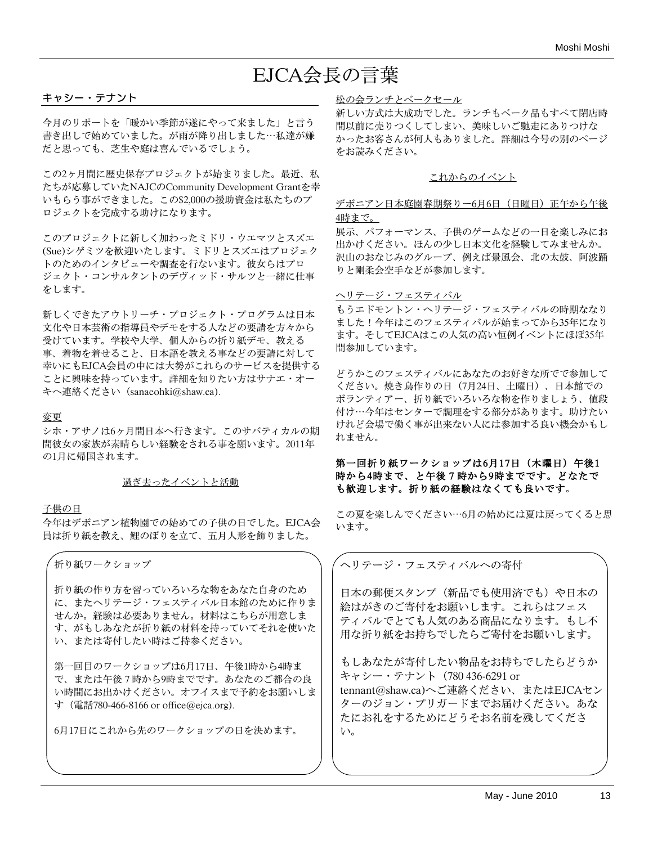# EJCA会長の言葉

#### キャシー・テナント

今月のリポートを「暖かい季節が遂にやって来ました」と言う 書き出しで始めていました。が雨が降り出しました⋯私達が嫌 だと思っても、芝生や庭は喜んでいるでしょう。

この2ヶ月間に歴史保存プロジェクトが始まりました。最近、私 たちが応募していたNAJCのCommunity Development Grantを幸 いもらう事ができました。この\$2,000の援助資金は私たちのプ ロジェクトを完成する助けになります。

このプロジェクトに新しく加わったミドリ・ウエマツとスズエ (Sue)シゲミツを歓迎いたします。ミドリとスズエはプロジェク トのためのインタビューや調査を行ないます。彼女らはプロ ジェクト・コンサルタントのデヴィッド・サルツと一緒に仕事 をします。

新しくできたアウトリーチ・プロジェクト・プログラムは日本 文化や日本芸術の指導員やデモをする人などの要請を方々から 受けています。学校や大学、個人からの折り紙デモ、教える 事、着物を着せること、日本語を教える事などの要請に対して 幸いにもEJCA会員の中には大勢がこれらのサービスを提供する ことに興味を持っています。詳細を知りたい方はサナエ・オー キへ連絡ください(sanaeohki@shaw.ca).

#### 変更

シホ・アサノは6ヶ月間日本へ行きます。このサバティカルの期 間彼女の家族が素晴らしい経験をされる事を願います。2011年 の1月に帰国されます。

#### 過ぎ去ったイベントと活動

#### 子供の日

今年はデボニアン植物園での始めての子供の日でした。EJCA会 員は折り紙を教え、鯉のぼりを立て、五月人形を飾りました。

折り紙ワークショップ

折り紙の作り方を習っていろいろな物をあなた自身のため に、またヘリテージ・フェスティバル日本館のために作りま せんか。経験は必要ありません。材料はこちらが用意しま す、がもしあなたが折り紙の材料を持っていてそれを使いた い、または寄付したい時はご持参ください。

第一回目のワークショップは6月17日、午後1時から4時ま で、または午後7時から9時までです。あなたのご都合の良 い時間にお出かけください。オフイスまで予約をお願いしま す(電話780-466-8166 or office@ejca.org).

6月17日にこれから先のワークショップの日を決めます。

#### 松の会ランチとベークセール

新しい方式は大成功でした。ランチもベーク品もすべて閉店時 間以前に売りつくしてしまい、美味しいご馳走にありつけな かったお客さんが何人もありました。詳細は今号の別のページ をお読みください。

#### これからのイベント

#### デボニアン日本庭園春期祭りー6月6日 (日曜日) 正午から午後 4時まで。

展示、パフォーマンス、子供のゲームなどの一日を楽しみにお 出かけください。ほんの少し日本文化を経験してみませんか。 沢山のおなじみのグループ、例えば景風会、北の太鼓、阿波踊 りと剛柔会空手などが参加します。

#### ヘリテージ・フェスティバル

もうエドモントン・ヘリテージ・フェスティバルの時期ななり ました!今年はこのフェスティバルが始まってから35年になり ます。そしてEJCAはこの人気の高い恒例イベントにほぼ35年 間参加しています。

どうかこのフェスティバルにあなたのお好きな所でで参加して ください。焼き鳥作りの日(7月24日、土曜日)、日本館での ボランティアー、折り紙でいろいろな物を作りましょう、値段 付け⋯今年はセンターで調理をする部分があります。助けたい けれど会場で働く事が出来ない人には参加する良い機会かもし れません。

### 第一回折り紙ワークショップは6月17日 (木曜日)午後1 時から4時まで、と午後7時から9時までです。どなたで も歓迎します。折り紙の経験はなくても良いです。

この夏を楽しんでください⋯6月の始めには夏は戻ってくると思 います。

ヘリテージ・フェスティバルへの寄付

日本の郵便スタンプ(新品でも使用済でも)や日本の 絵はがきのご寄付をお願いします。これらはフェス ティバルでとても人気のある商品になります。もし不 用な折り紙をお持ちでしたらご寄付をお願いします。

もしあなたが寄付したい物品をお持ちでしたらどうか キャシー・テナント(780 436-6291 or tennant@shaw.ca)へご連絡ください、またはEJCAセン ターのジョン・プリガードまでお届けください。あな たにお礼をするためにどうそお名前を残してくださ い。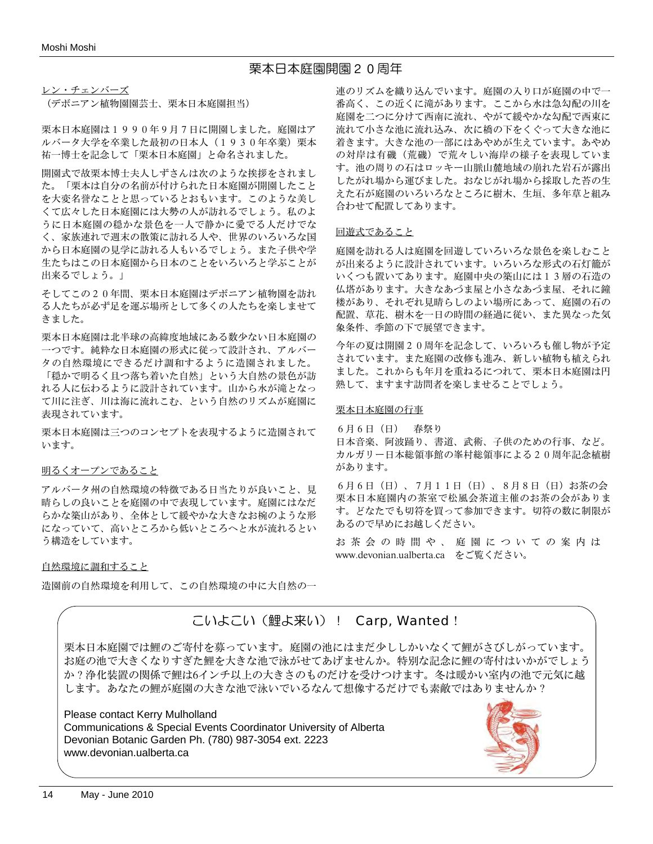# 栗本日本庭園開園20周年

レン・チェンバーズ

(デボニアン植物園園芸士、栗本日本庭園担当)

栗本日本庭園は1990年9月7日に開園しました。庭園はア ルバータ大学を卒業した最初の日本人(1930年卒業)栗本 祐一博士を記念して「栗本日本庭園」と命名されました。

開園式で故栗本博士夫人しずさんは次のような挨拶をされまし た。「栗本は自分の名前が付けられた日本庭園が開園したこと を大変名誉なことと思っているとおもいます。このような美し くて広々した日本庭園には大勢の人が訪れるでしょう。私のよ うに日本庭園の穏かな景色を一人で静かに愛でる人だけでな く、家族連れで週末の散策に訪れる人や、世界のいろいろな国 から日本庭園の見学に訪れる人もいるでしょう。また子供や学 生たちはこの日本庭園から日本のことをいろいろと学ぶことが 出来るでしょう。」

そしてこの20年間、栗本日本庭園はデボニアン植物園を訪れ る人たちが必ず足を運ぶ場所として多くの人たちを楽しませて きました。

栗本日本庭園は北半球の高緯度地域にある数少ない日本庭園の 一つです。純粋な日本庭園の形式に従って設計され、アルバー タの自然環境にできるだけ調和するように造園されました。

「穏かで明るく且つ落ち着いた自然」という大自然の景色が訪 れる人に伝わるように設計されています。山から水が滝となっ て川に注ぎ、川は海に流れこむ、という自然のリズムが庭園に 表現されています。

栗本日本庭園は三つのコンセプトを表現するように造園されて います。

#### 明るくオープンであること

アルバータ州の自然環境の特徴である日当たりが良いこと、見 晴らしの良いことを庭園の中で表現しています。庭園にはなだ らかな築山があり、全体として緩やかな大きなお椀のような形 になっていて、高いところから低いところへと水が流れるとい う構造をしています。

#### 自然環境に調和すること

造園前の自然環境を利用して、この自然環境の中に大自然の一

連のリズムを織り込んでいます。庭園の入り口が庭園の中で一 番高く、この近くに滝があります。ここから水は急勾配の川を 庭園を二つに分けて西南に流れ、やがて緩やかな勾配で西東に 流れて小さな池に流れ込み、次に橋の下をくぐって大きな池に 着きます。大きな池の一部にはあやめが生えています。あやめ の対岸は有磯(荒磯)で荒々しい海岸の様子を表現していま す。池の周りの石はロッキー山脈山麓地域の崩れた岩石が露出 したがれ場から運びました。おなじがれ場から採取した苔の生 えた石が庭園のいろいろなところに樹木、生垣、多年草と組み 合わせて配置してあります。

#### 回遊式であること

庭園を訪れる人は庭園を回遊していろいろな景色を楽しむこと が出来るように設計されています。いろいろな形式の石灯籠が いくつも置いてあります。庭園中央の築山には13層の石造の 仏塔があります。大きなあづま屋と小さなあづま屋、それに鐘 楼があり、それぞれ見晴らしのよい場所にあって、庭園の石の 配置、草花、樹木を一日の時間の経過に従い、また異なった気 象条件、季節の下で展望できます。

今年の夏は開園20周年を記念して、いろいろも催し物が予定 されています。また庭園の改修も進み、新しい植物も植えられ ました。これからも年月を重ねるにつれて、栗本日本庭園は円 熟して、ますます訪問者を楽しませることでしょう。

#### 栗本日本庭園の行事

6月6日(日) 春祭り 日本音楽、阿波踊り、書道、武術、子供のための行事、など。 カルガリー日本総領事館の峯村総領事による20周年記念植樹 があります。

6月6日(日)、7月11日(日)、8月8日(日)お茶の会 栗本日本庭園内の茶室で松風会茶道主催のお茶の会がありま す。どなたでも切符を買って参加できます。切符の数に制限が あるので早めにお越しください。

お茶会の時間や、庭園についての案内は www.devonian.ualberta.ca をご覧ください。

# こいよこい(鯉よ来い)! Carp, Wanted!

栗本日本庭園では鯉のご寄付を募っています。庭園の池にはまだ少ししかいなくて鯉がさびしがっています。 お庭の池で大きくなりすぎた鯉を大きな池で泳がせてあげませんか。特別な記念に鯉の寄付はいかがでしょう か?浄化装置の関係で鯉は6インチ以上の大きさのものだけを受けつけます。冬は暖かい室内の池で元気に越 します。あなたの鯉が庭園の大きな池で泳いでいるなんて想像するだけでも素敵ではありませんか?

# Please contact Kerry Mulholland

Communications & Special Events Coordinator University of Alberta Devonian Botanic Garden Ph. (780) 987-3054 ext. 2223 www.devonian.ualberta.ca

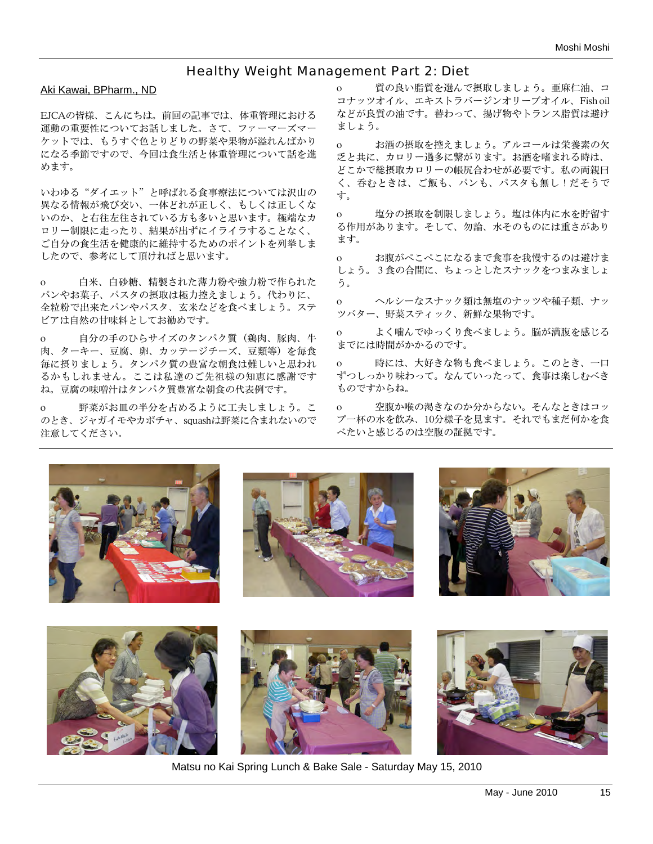# Healthy Weight Management Part 2: Diet

### Aki Kawai, BPharm., ND

EJCAの皆様、こんにちは。前回の記事では、体重管理における 運動の重要性についてお話しました。さて、ファーマーズマー ケットでは、もうすぐ色とりどりの野菜や果物が溢れんばかり になる季節ですので、今回は食生活と体重管理について話を進 めます。

いわゆる"ダイエット"と呼ばれる食事療法については沢山の 異なる情報が飛び交い、一体どれが正しく、もしくは正しくな いのか、と右往左往されている方も多いと思います。極端なカ ロリー制限に走ったり、結果が出ずにイライラすることなく、 ご自分の食生活を健康的に維持するためのポイントを列挙しま したので、参考にして頂ければと思います。

o 白米、白砂糖、精製された薄力粉や強力粉で作られた パンやお菓子、パスタの摂取は極力控えましょう。代わりに、 全粒粉で出来たパンやパスタ、玄米などを食べましょう。ステ ビアは自然の甘味料としてお勧めです。

o 自分の手のひらサイズのタンパク質(鶏肉、豚肉、牛 肉、ターキー、豆腐、卵、カッテージチーズ、豆類等)を毎食 毎に摂りましょう。タンパク質の豊富な朝食は難しいと思われ るかもしれません。ここは私達のご先祖様の知恵に感謝です ね。豆腐の味噌汁はタンパク質豊富な朝食の代表例です。

o 野菜がお皿の半分を占めるように工夫しましょう。こ のとき、ジャガイモやカボチャ、squashは野菜に含まれないので 注意してください。

o 質の良い脂質を選んで摂取しましょう。亜麻仁油、コ コナッツオイル、エキストラバージンオリーブオイル、Fish oil などが良質の油です。替わって、揚げ物やトランス脂質は避け ましょう。

o お酒の摂取を控えましょう。アルコールは栄養素の欠 乏と共に、カロリー過多に繋がります。お酒を嗜まれる時は、 どこかで総摂取カロリーの帳尻合わせが必要です。私の両親曰 く、呑むときは、ご飯も、パンも、パスタも無し!だそうで す。

o 塩分の摂取を制限しましょう。塩は体内に水を貯留す る作用があります。そして、勿論、水そのものには重さがあり ます。

o お腹がぺこぺこになるまで食事を我慢するのは避けま しょう。3食の合間に、ちょっとしたスナックをつまみましょ う。

o ヘルシーなスナック類は無塩のナッツや種子類、ナッ ツバター、野菜スティック、新鮮な果物です。

o よく噛んでゆっくり食べましょう。脳が満腹を感じる までには時間がかかるのです。

o 時には、大好きな物も食べましょう。このとき、一口 ずつしっかり味わって。なんていったって、食事は楽しむべき ものですからね。

o 空腹か喉の渇きなのか分からない。そんなときはコッ プ一杯の水を飲み、10分様子を見ます。それでもまだ何かを食 べたいと感じるのは空腹の証拠です。













Matsu no Kai Spring Lunch & Bake Sale - Saturday May 15, 2010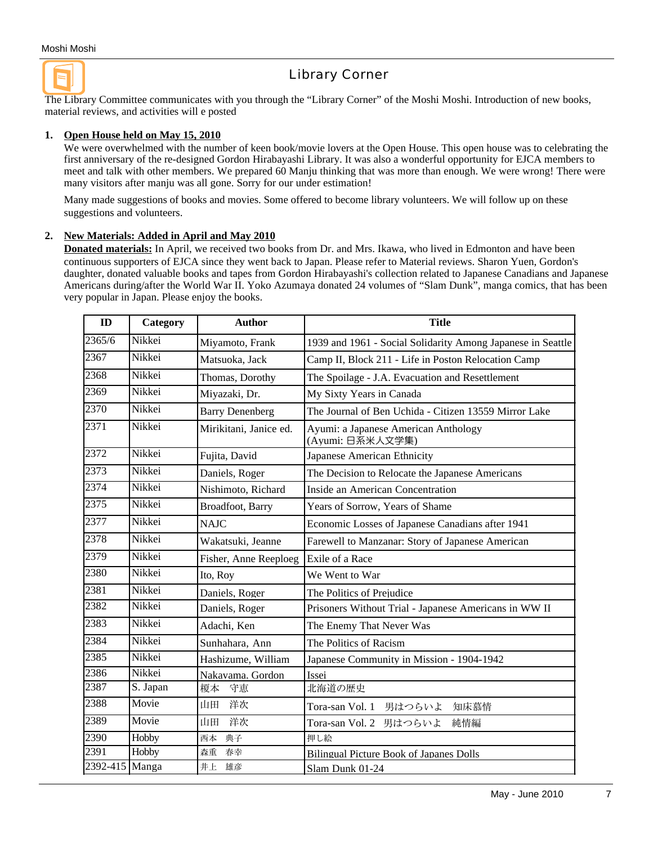# Library Corner

The Library Committee communicates with you through the "Library Corner" of the Moshi Moshi. Introduction of new books, material reviews, and activities will e posted

#### **1. Open House held on May 15, 2010**

We were overwhelmed with the number of keen book/movie lovers at the Open House. This open house was to celebrating the first anniversary of the re-designed Gordon Hirabayashi Library. It was also a wonderful opportunity for EJCA members to meet and talk with other members. We prepared 60 Manju thinking that was more than enough. We were wrong! There were many visitors after manju was all gone. Sorry for our under estimation!

Many made suggestions of books and movies. Some offered to become library volunteers. We will follow up on these suggestions and volunteers.

#### **2. New Materials: Added in April and May 2010**

**Donated materials:** In April, we received two books from Dr. and Mrs. Ikawa, who lived in Edmonton and have been continuous supporters of EJCA since they went back to Japan. Please refer to Material reviews. Sharon Yuen, Gordon's daughter, donated valuable books and tapes from Gordon Hirabayashi's collection related to Japanese Canadians and Japanese Americans during/after the World War II. Yoko Azumaya donated 24 volumes of "Slam Dunk", manga comics, that has been very popular in Japan. Please enjoy the books.

| $\mathbf{ID}$  | <b>Category</b> | <b>Author</b>            | <b>Title</b>                                                |  |  |
|----------------|-----------------|--------------------------|-------------------------------------------------------------|--|--|
| 2365/6         | Nikkei          | Miyamoto, Frank          | 1939 and 1961 - Social Solidarity Among Japanese in Seattle |  |  |
| 2367           | Nikkei          | Matsuoka, Jack           | Camp II, Block 211 - Life in Poston Relocation Camp         |  |  |
| 2368           | Nikkei          | Thomas, Dorothy          | The Spoilage - J.A. Evacuation and Resettlement             |  |  |
| 2369           | Nikkei          | Miyazaki, Dr.            | My Sixty Years in Canada                                    |  |  |
| 2370           | Nikkei          | <b>Barry Denenberg</b>   | The Journal of Ben Uchida - Citizen 13559 Mirror Lake       |  |  |
| 2371           | Nikkei          | Mirikitani, Janice ed.   | Ayumi: a Japanese American Anthology<br>(Ayumi: 日系米人文学集)    |  |  |
| 2372           | Nikkei          | Fujita, David            | Japanese American Ethnicity                                 |  |  |
| 2373           | Nikkei          | Daniels, Roger           | The Decision to Relocate the Japanese Americans             |  |  |
| 2374           | Nikkei          | Nishimoto, Richard       | Inside an American Concentration                            |  |  |
| 2375           | Nikkei          | <b>Broadfoot</b> , Barry | Years of Sorrow, Years of Shame                             |  |  |
| 2377           | Nikkei          | <b>NAJC</b>              | Economic Losses of Japanese Canadians after 1941            |  |  |
| 2378           | Nikkei          | Wakatsuki, Jeanne        | Farewell to Manzanar: Story of Japanese American            |  |  |
| 2379           | Nikkei          | Fisher, Anne Reeploeg    | Exile of a Race                                             |  |  |
| 2380           | Nikkei          | Ito, Roy                 | We Went to War                                              |  |  |
| 2381           | Nikkei          | Daniels, Roger           | The Politics of Prejudice                                   |  |  |
| 2382           | Nikkei          | Daniels, Roger           | Prisoners Without Trial - Japanese Americans in WW II       |  |  |
| 2383           | Nikkei          | Adachi, Ken              | The Enemy That Never Was                                    |  |  |
| 2384           | Nikkei          | Sunhahara, Ann           | The Politics of Racism                                      |  |  |
| 2385           | Nikkei          | Hashizume, William       | Japanese Community in Mission - 1904-1942                   |  |  |
| 2386           | Nikkei          | Nakavama. Gordon         | Issei                                                       |  |  |
| 2387           | S. Japan        | 守恵<br>榎本                 | 北海道の歴史                                                      |  |  |
| 2388           | Movie           | 洋次<br>山田                 | Tora-san Vol. 1<br>男はつらいよ<br>知床慕情                           |  |  |
| 2389           | Movie           | 洋次<br>山田                 | Tora-san Vol. 2<br>男はつらいよ<br>純情編                            |  |  |
| 2390           | Hobby           | 典子<br>西本                 | 押し絵                                                         |  |  |
| 2391           | Hobby           | 森重<br>春幸                 | <b>Bilingual Picture Book of Japanes Dolls</b>              |  |  |
| 2392-415 Manga |                 | 井上 雄彦                    | Slam Dunk 01-24                                             |  |  |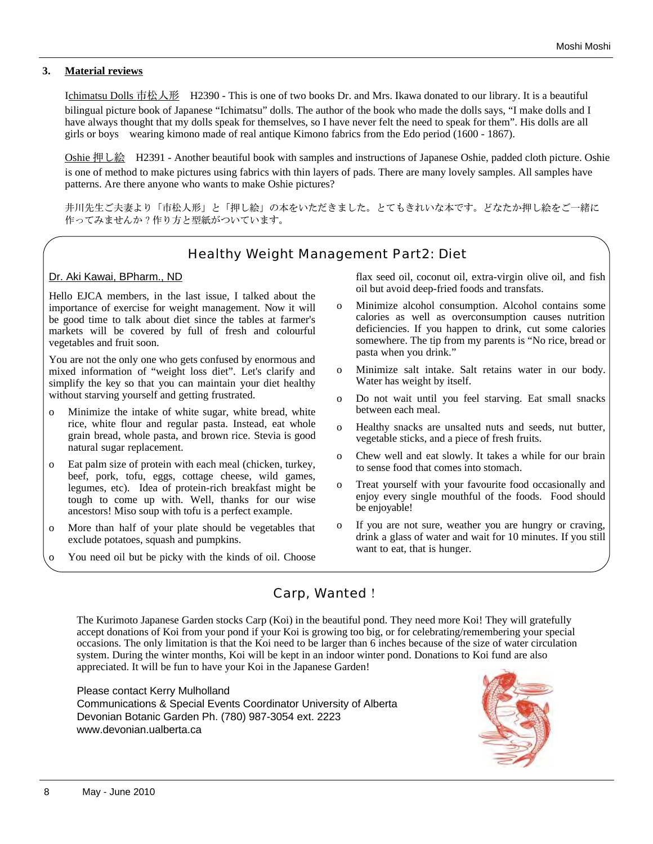### **3. Material reviews**

Ichimatsu Dolls 市松人形 H2390 - This is one of two books Dr. and Mrs. Ikawa donated to our library. It is a beautiful bilingual picture book of Japanese "Ichimatsu" dolls. The author of the book who made the dolls says, "I make dolls and I have always thought that my dolls speak for themselves, so I have never felt the need to speak for them". His dolls are all girls or boys wearing kimono made of real antique Kimono fabrics from the Edo period (1600 - 1867).

Oshie 押し絵 H2391 - Another beautiful book with samples and instructions of Japanese Oshie, padded cloth picture. Oshie is one of method to make pictures using fabrics with thin layers of pads. There are many lovely samples. All samples have patterns. Are there anyone who wants to make Oshie pictures?

井川先生ご夫妻より「市松人形」と「押し絵」の本をいただきました。とてもきれいな本です。どなたか押し絵をご一緒に 作ってみませんか?作り方と型紙がついています。

# Healthy Weight Management Part2: Diet

## Dr. Aki Kawai, BPharm., ND

Hello EJCA members, in the last issue, I talked about the importance of exercise for weight management. Now it will be good time to talk about diet since the tables at farmer's markets will be covered by full of fresh and colourful vegetables and fruit soon.

You are not the only one who gets confused by enormous and mixed information of "weight loss diet". Let's clarify and simplify the key so that you can maintain your diet healthy without starving yourself and getting frustrated.

- o Minimize the intake of white sugar, white bread, white rice, white flour and regular pasta. Instead, eat whole grain bread, whole pasta, and brown rice. Stevia is good natural sugar replacement.
- o Eat palm size of protein with each meal (chicken, turkey, beef, pork, tofu, eggs, cottage cheese, wild games, legumes, etc). Idea of protein-rich breakfast might be tough to come up with. Well, thanks for our wise ancestors! Miso soup with tofu is a perfect example.
- o More than half of your plate should be vegetables that exclude potatoes, squash and pumpkins.
- o You need oil but be picky with the kinds of oil. Choose

flax seed oil, coconut oil, extra-virgin olive oil, and fish oil but avoid deep-fried foods and transfats.

- o Minimize alcohol consumption. Alcohol contains some calories as well as overconsumption causes nutrition deficiencies. If you happen to drink, cut some calories somewhere. The tip from my parents is "No rice, bread or pasta when you drink."
- o Minimize salt intake. Salt retains water in our body. Water has weight by itself.
- o Do not wait until you feel starving. Eat small snacks between each meal.
- o Healthy snacks are unsalted nuts and seeds, nut butter, vegetable sticks, and a piece of fresh fruits.
- o Chew well and eat slowly. It takes a while for our brain to sense food that comes into stomach.
- o Treat yourself with your favourite food occasionally and enjoy every single mouthful of the foods. Food should be enjoyable!
- o If you are not sure, weather you are hungry or craving, drink a glass of water and wait for 10 minutes. If you still want to eat, that is hunger.

# Carp, Wanted!

The Kurimoto Japanese Garden stocks Carp (Koi) in the beautiful pond. They need more Koi! They will gratefully accept donations of Koi from your pond if your Koi is growing too big, or for celebrating/remembering your special occasions. The only limitation is that the Koi need to be larger than 6 inches because of the size of water circulation system. During the winter months, Koi will be kept in an indoor winter pond. Donations to Koi fund are also appreciated. It will be fun to have your Koi in the Japanese Garden!

Please contact Kerry Mulholland Communications & Special Events Coordinator University of Alberta Devonian Botanic Garden Ph. (780) 987-3054 ext. 2223 www.devonian.ualberta.ca